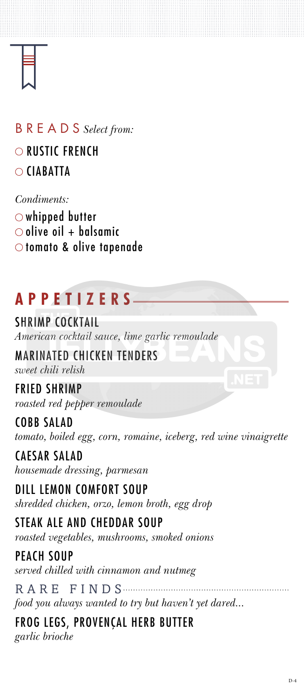# SHRIMP COCKTAIL

*American cocktail sauce, lime garlic remoulade*

# MARINATED CHICKEN TENDERS

*sweet chili relish*

# FRIED SHRIMP

*roasted red pepper remoulade*

COBB SALAD *tomato, boiled egg, corn, romaine, iceberg, red wine vinaigrette*

CAESAR SALAD *housemade dressing, parmesan*

RARE FINDS *food you always wanted to try but haven't yet dared...*

DILL LEMON COMFORT SOUP *shredded chicken, orzo, lemon broth, egg drop*

whipped butter  $\circ$  olive oil + balsamic O tomato & olive tapenade

STEAK ALE AND CHEDDAR SOUP *roasted vegetables, mushrooms, smoked onions*

PEACH SOUP

*served chilled with cinnamon and nutmeg*

FROG LEGS, PROVENÇAL HERB BUTTER *garlic brioche*

# **APPETIZERS**

# BREADS *Select from:* O RUSTIC FRENCH CIABATTA

#### *Condiments:*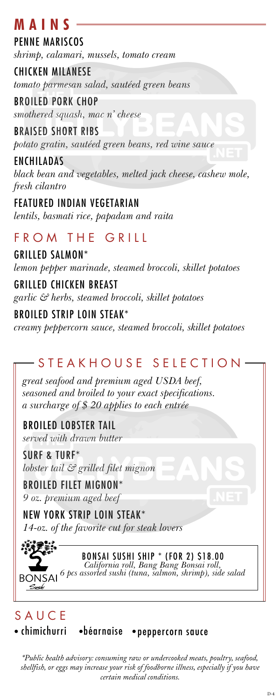# **M A I N S**

### GRILLED SALMON\*

*lemon pepper marinade, steamed broccoli, skillet potatoes*

### GRILLED CHICKEN BREAST

*garlic & herbs, steamed broccoli, skillet potatoes*

# BROILED STRIP LOIN STEAK\*

*creamy peppercorn sauce, steamed broccoli, skillet potatoes* 

# STEAKHOUSE SELECTION

*\*Public health advisory: consuming raw or undercooked meats, poultry, seafood, shellfish, or eggs may increase your risk of foodborne illness, especially if you have certain medical conditions.*

PENNE MARISCOS

*shrimp, calamari, mussels, tomato cream*

CHICKEN MILANESE

*tomato parmesan salad, sautéed green beans*

BROILED PORK CHOP

*smothered squash, mac n' cheese*

BRAISED SHORT RIBS

*potato gratin, sautéed green beans, red wine sauce*

ENCHILADAS *black bean and vegetables, melted jack cheese, cashew mole, fresh cilantro*

# FEATURED INDIAN VEGETARIAN

*lentils, basmati rice, papadam and raita*

# FROM THE GRILL

*great seafood and premium aged USDA beef, seasoned and broiled to your exact specifications. a surcharge of \$ 20 applies to each entrée*

BROILED LOBSTER TAIL *served with drawn butter*

SURF & TURF\* *lobster tail & grilled filet mignon*

# BROILED FILET MIGNON\*

*9 oz. premium aged beef*

### NEW YORK STRIP LOIN STEAK\*

*14-oz. of the favorite cut for steak lovers*



# BONSAI SUSHI SHIP \* (FOR 2) \$18.00 *California roll, Bang Bang Bonsai roll, 6 pcs assorted sushi (tuna, salmon, shrimp), side salad*

# **SAUCE**

· chimichurri · · béarnaise · peppercorn sauce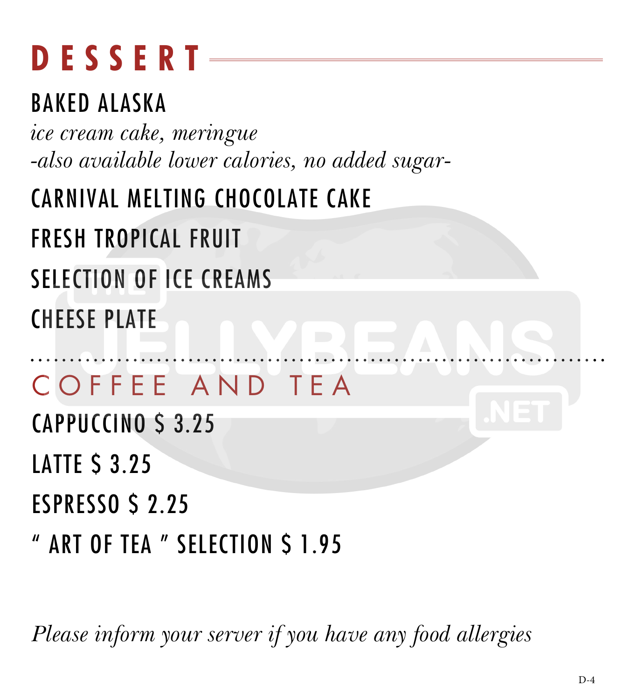# **DESSERT**

### BAKED ALASKA

*ice cream cake, meringue -also available lower calories, no added sugar-*

# CARNIVAL MELTING CHOCOLATE CAKE

FRESH TROPICAL FRUIT

SELECTION OF ICE CREAMS

CHEESE PLATE

# COFFEE AND TEA

CAPPUCCINO \$ 3.25

**LATTE S 3.25** 

ESPRESSO \$ 2.25

" ART OF TEA " SELECTION \$ 1.95

*Please inform your server if you have any food allergies*